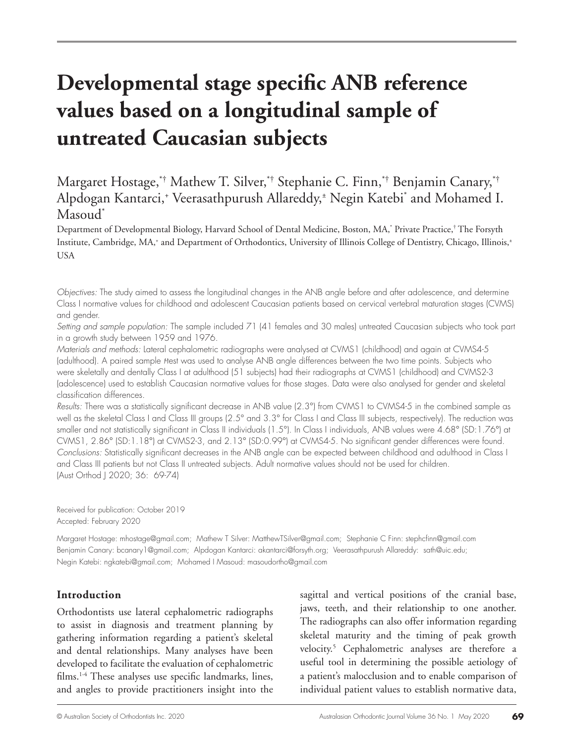# **Developmental stage specific ANB reference values based on a longitudinal sample of untreated Caucasian subjects**

Margaret Hostage,\*† Mathew T. Silver,\*† Stephanie C. Finn,\*† Benjamin Canary,\*† Alpdogan Kantarci,+ Veerasathpurush Allareddy,± Negin Katebi\* and Mohamed I. Masoud\*

Department of Developmental Biology, Harvard School of Dental Medicine, Boston, MA,\* Private Practice,† The Forsyth Institute, Cambridge, MA,+ and Department of Orthodontics, University of Illinois College of Dentistry, Chicago, Illinois,± USA

*Objectives:* The study aimed to assess the longitudinal changes in the ANB angle before and after adolescence, and determine Class I normative values for childhood and adolescent Caucasian patients based on cervical vertebral maturation stages (CVMS) and gender.

*Setting and sample population:* The sample included 71 (41 females and 30 males) untreated Caucasian subjects who took part in a growth study between 1959 and 1976.

*Materials and methods:* Lateral cephalometric radiographs were analysed at CVMS1 (childhood) and again at CVMS4-5 (adulthood). A paired sample *t*-test was used to analyse ANB angle differences between the two time points. Subjects who were skeletally and dentally Class I at adulthood (51 subjects) had their radiographs at CVMS1 (childhood) and CVMS2-3 (adolescence) used to establish Caucasian normative values for those stages. Data were also analysed for gender and skeletal classification differences.

*Results:* There was a statistically significant decrease in ANB value (2.3°) from CVMS1 to CVMS4-5 in the combined sample as well as the skeletal Class I and Class III groups (2.5° and 3.3° for Class I and Class III subjects, respectively). The reduction was smaller and not statistically significant in Class II individuals (1.5°). In Class I individuals, ANB values were 4.68° (SD:1.76°) at CVMS1, 2.86° (SD:1.18°) at CVMS2-3, and 2.13° (SD:0.99°) at CVMS4-5. No significant gender differences were found. *Conclusions:* Statistically significant decreases in the ANB angle can be expected between childhood and adulthood in Class I and Class III patients but not Class II untreated subjects. Adult normative values should not be used for children. (Aust Orthod J 2020; 36: 69-74)

Received for publication: October 2019 Accepted: February 2020

Margaret Hostage: mhostage@gmail.com; Mathew T Silver: MatthewTSilver@gmail.com; Stephanie C Finn: stephcfinn@gmail.com Benjamin Canary: bcanary1@gmail.com; Alpdogan Kantarci: akantarci@forsyth.org; Veerasathpurush Allareddy: sath@uic.edu; Negin Katebi: ngkatebi@gmail.com; Mohamed I Masoud: masoudortho@gmail.com

# **Introduction**

Orthodontists use lateral cephalometric radiographs to assist in diagnosis and treatment planning by gathering information regarding a patient's skeletal and dental relationships. Many analyses have been developed to facilitate the evaluation of cephalometric films.1-4 These analyses use specific landmarks, lines, and angles to provide practitioners insight into the

sagittal and vertical positions of the cranial base, jaws, teeth, and their relationship to one another. The radiographs can also offer information regarding skeletal maturity and the timing of peak growth velocity.5 Cephalometric analyses are therefore a useful tool in determining the possible aetiology of a patient's malocclusion and to enable comparison of individual patient values to establish normative data,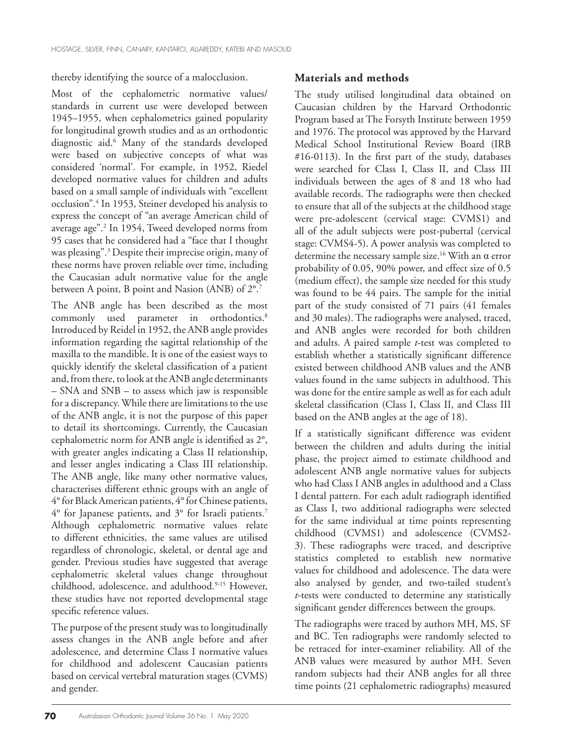thereby identifying the source of a malocclusion.

Most of the cephalometric normative values/ standards in current use were developed between 1945–1955, when cephalometrics gained popularity for longitudinal growth studies and as an orthodontic diagnostic aid.6 Many of the standards developed were based on subjective concepts of what was considered 'normal'. For example, in 1952, Riedel developed normative values for children and adults based on a small sample of individuals with "excellent occlusion".4 In 1953, Steiner developed his analysis to express the concept of "an average American child of average age".2 In 1954, Tweed developed norms from 95 cases that he considered had a "face that I thought was pleasing".3 Despite their imprecise origin, many of these norms have proven reliable over time, including the Caucasian adult normative value for the angle between A point, B point and Nasion (ANB) of 2°.7

The ANB angle has been described as the most commonly used parameter in orthodontics.<sup>8</sup> Introduced by Reidel in 1952, the ANB angle provides information regarding the sagittal relationship of the maxilla to the mandible. It is one of the easiest ways to quickly identify the skeletal classification of a patient and, from there, to look at the ANB angle determinants – SNA and SNB – to assess which jaw is responsible for a discrepancy. While there are limitations to the use of the ANB angle, it is not the purpose of this paper to detail its shortcomings. Currently, the Caucasian cephalometric norm for ANB angle is identified as 2°, with greater angles indicating a Class II relationship, and lesser angles indicating a Class III relationship. The ANB angle, like many other normative values, characterises different ethnic groups with an angle of 4° for Black American patients, 4° for Chinese patients, 4° for Japanese patients, and 3° for Israeli patients.7 Although cephalometric normative values relate to different ethnicities, the same values are utilised regardless of chronologic, skeletal, or dental age and gender. Previous studies have suggested that average cephalometric skeletal values change throughout childhood, adolescence, and adulthood.9-15 However, these studies have not reported developmental stage specific reference values.

The purpose of the present study was to longitudinally assess changes in the ANB angle before and after adolescence, and determine Class I normative values for childhood and adolescent Caucasian patients based on cervical vertebral maturation stages (CVMS) and gender.

# **Materials and methods**

The study utilised longitudinal data obtained on Caucasian children by the Harvard Orthodontic Program based at The Forsyth Institute between 1959 and 1976. The protocol was approved by the Harvard Medical School Institutional Review Board (IRB #16-0113). In the first part of the study, databases were searched for Class I, Class II, and Class III individuals between the ages of 8 and 18 who had available records. The radiographs were then checked to ensure that all of the subjects at the childhood stage were pre-adolescent (cervical stage: CVMS1) and all of the adult subjects were post-pubertal (cervical stage: CVMS4-5). A power analysis was completed to determine the necessary sample size.<sup>16</sup> With an  $\alpha$  error probability of 0.05, 90% power, and effect size of 0.5 (medium effect), the sample size needed for this study was found to be 44 pairs. The sample for the initial part of the study consisted of 71 pairs (41 females and 30 males). The radiographs were analysed, traced, and ANB angles were recorded for both children and adults. A paired sample *t*-test was completed to establish whether a statistically significant difference existed between childhood ANB values and the ANB values found in the same subjects in adulthood. This was done for the entire sample as well as for each adult skeletal classification (Class I, Class II, and Class III based on the ANB angles at the age of 18).

If a statistically significant difference was evident between the children and adults during the initial phase, the project aimed to estimate childhood and adolescent ANB angle normative values for subjects who had Class I ANB angles in adulthood and a Class I dental pattern. For each adult radiograph identified as Class I, two additional radiographs were selected for the same individual at time points representing childhood (CVMS1) and adolescence (CVMS2- 3). These radiographs were traced, and descriptive statistics completed to establish new normative values for childhood and adolescence. The data were also analysed by gender, and two-tailed student's *t*-tests were conducted to determine any statistically significant gender differences between the groups.

The radiographs were traced by authors MH, MS, SF and BC. Ten radiographs were randomly selected to be retraced for inter-examiner reliability. All of the ANB values were measured by author MH. Seven random subjects had their ANB angles for all three time points (21 cephalometric radiographs) measured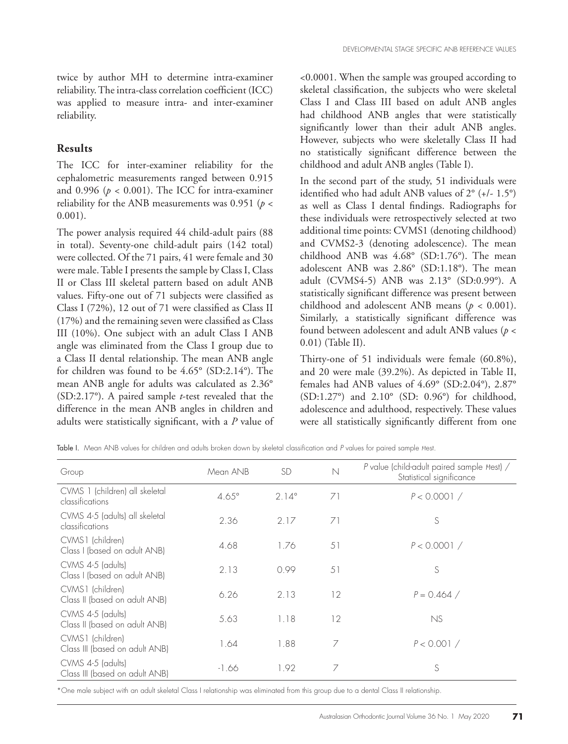twice by author MH to determine intra-examiner reliability. The intra-class correlation coefficient (ICC) was applied to measure intra- and inter-examiner reliability.

# **Results**

The ICC for inter-examiner reliability for the cephalometric measurements ranged between 0.915 and 0.996 ( $p < 0.001$ ). The ICC for intra-examiner reliability for the ANB measurements was 0.951 (*p* < 0.001).

The power analysis required 44 child-adult pairs (88 in total). Seventy-one child-adult pairs (142 total) were collected. Of the 71 pairs, 41 were female and 30 were male. Table I presents the sample by Class I, Class II or Class III skeletal pattern based on adult ANB values. Fifty-one out of 71 subjects were classified as Class I (72%), 12 out of 71 were classified as Class II (17%) and the remaining seven were classified as Class III (10%). One subject with an adult Class I ANB angle was eliminated from the Class I group due to a Class II dental relationship. The mean ANB angle for children was found to be 4.65° (SD:2.14°). The mean ANB angle for adults was calculated as 2.36° (SD:2.17°). A paired sample *t*-test revealed that the difference in the mean ANB angles in children and adults were statistically significant, with a *P* value of

<0.0001. When the sample was grouped according to skeletal classification, the subjects who were skeletal Class I and Class III based on adult ANB angles had childhood ANB angles that were statistically significantly lower than their adult ANB angles. However, subjects who were skeletally Class II had no statistically significant difference between the childhood and adult ANB angles (Table I).

In the second part of the study, 51 individuals were identified who had adult ANB values of 2° (+/- 1.5°) as well as Class I dental findings. Radiographs for these individuals were retrospectively selected at two additional time points: CVMS1 (denoting childhood) and CVMS2-3 (denoting adolescence). The mean childhood ANB was 4.68° (SD:1.76°). The mean adolescent ANB was 2.86° (SD:1.18°). The mean adult (CVMS4-5) ANB was 2.13° (SD:0.99°). A statistically significant difference was present between childhood and adolescent ANB means (*p* < 0.001). Similarly, a statistically significant difference was found between adolescent and adult ANB values (*p* < 0.01) (Table II).

Thirty-one of 51 individuals were female (60.8%), and 20 were male (39.2%). As depicted in Table II, females had ANB values of 4.69° (SD:2.04°), 2.87° (SD:1.27°) and 2.10° (SD: 0.96°) for childhood, adolescence and adulthood, respectively. These values were all statistically significantly different from one

Table I. Mean ANB values for children and adults broken down by skeletal classification and P values for paired sample *Hest.* 

| Group                                               | Mean ANB     | <b>SD</b>      | $\mathbb N$ | P value (child-adult paired sample <i>Hest)</i> /<br>Statistical significance |  |
|-----------------------------------------------------|--------------|----------------|-------------|-------------------------------------------------------------------------------|--|
| CVMS 1 (children) all skeletal<br>classifications   | $4.65^\circ$ | $2.14^{\circ}$ | 71          | P < 0.0001 /                                                                  |  |
| CVMS 4-5 (adults) all skeletal<br>classifications   | 2.36         | 2.17           | 71          | S                                                                             |  |
| CVMS1 (children)<br>Class I (based on adult ANB)    | 4.68         | 1.76           | 51          | P < 0.0001 /                                                                  |  |
| CVMS 4-5 (adults)<br>Class I (based on adult ANB)   | 2.13         | 0.99           | 51          | S                                                                             |  |
| CVMS1 (children)<br>Class II (based on adult ANB)   | 6.26         | 2.13           | 12          | $P = 0.464 /$                                                                 |  |
| CVMS 4-5 (adults)<br>Class II (based on adult ANB)  | 5.63         | 1.18           | 12          | NS                                                                            |  |
| CVMS1 (children)<br>Class III (based on adult ANB)  | 1.64         | 1.88           | 7           | P < 0.001 /                                                                   |  |
| CVMS 4-5 (adults)<br>Class III (based on adult ANB) | -1.66        | 1.92           | 7           | S                                                                             |  |

\*One male subject with an adult skeletal Class I relationship was eliminated from this group due to a dental Class II relationship.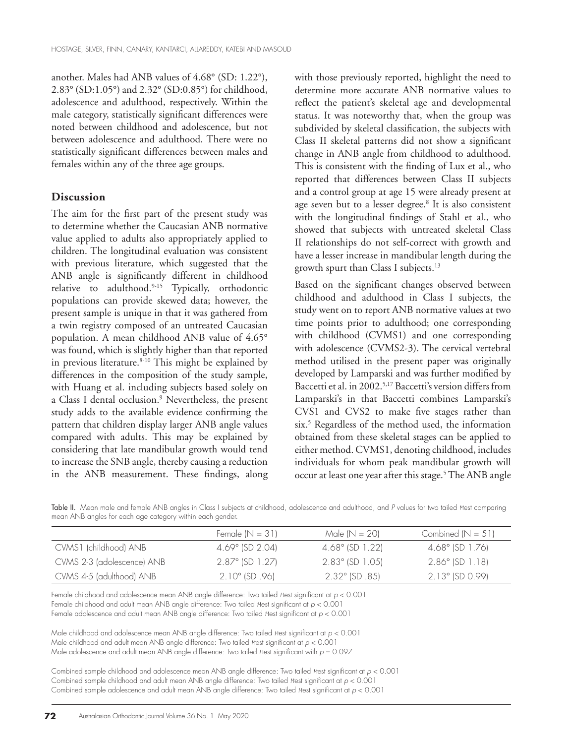another. Males had ANB values of 4.68° (SD: 1.22°), 2.83° (SD:1.05°) and 2.32° (SD:0.85°) for childhood, adolescence and adulthood, respectively. Within the male category, statistically significant differences were noted between childhood and adolescence, but not between adolescence and adulthood. There were no statistically significant differences between males and females within any of the three age groups.

# **Discussion**

The aim for the first part of the present study was to determine whether the Caucasian ANB normative value applied to adults also appropriately applied to children. The longitudinal evaluation was consistent with previous literature, which suggested that the ANB angle is significantly different in childhood relative to adulthood.9-15 Typically, orthodontic populations can provide skewed data; however, the present sample is unique in that it was gathered from a twin registry composed of an untreated Caucasian population. A mean childhood ANB value of 4.65° was found, which is slightly higher than that reported in previous literature. $8-10$  This might be explained by differences in the composition of the study sample, with Huang et al. including subjects based solely on a Class I dental occlusion.9 Nevertheless, the present study adds to the available evidence confirming the pattern that children display larger ANB angle values compared with adults. This may be explained by considering that late mandibular growth would tend to increase the SNB angle, thereby causing a reduction in the ANB measurement. These findings, along

with those previously reported, highlight the need to determine more accurate ANB normative values to reflect the patient's skeletal age and developmental status. It was noteworthy that, when the group was subdivided by skeletal classification, the subjects with Class II skeletal patterns did not show a significant change in ANB angle from childhood to adulthood. This is consistent with the finding of Lux et al., who reported that differences between Class II subjects and a control group at age 15 were already present at age seven but to a lesser degree.8 It is also consistent with the longitudinal findings of Stahl et al., who showed that subjects with untreated skeletal Class II relationships do not self-correct with growth and have a lesser increase in mandibular length during the growth spurt than Class I subjects.13

Based on the significant changes observed between childhood and adulthood in Class I subjects, the study went on to report ANB normative values at two time points prior to adulthood; one corresponding with childhood (CVMS1) and one corresponding with adolescence (CVMS2-3). The cervical vertebral method utilised in the present paper was originally developed by Lamparski and was further modified by Baccetti et al. in 2002.5,17 Baccetti's version differs from Lamparski's in that Baccetti combines Lamparski's CVS1 and CVS2 to make five stages rather than six.5 Regardless of the method used, the information obtained from these skeletal stages can be applied to either method. CVMS1, denoting childhood, includes individuals for whom peak mandibular growth will occur at least one year after this stage.<sup>5</sup> The ANB angle

Table II. Mean male and female ANB angles in Class I subjects at childhood, adolescence and adulthood, and P values for two tailed *Hest* comparing mean ANB angles for each age category within each gender.

|                            | Female $(N = 31)$        | Male $(N = 20)$            | Combined $(N = 51)$      |
|----------------------------|--------------------------|----------------------------|--------------------------|
| CVMS1 (childhood) ANB      | $4.69^{\circ}$ (SD 2.04) | $4.68^{\circ}$ (SD 1.22)   | $4.68^{\circ}$ (SD 1.76) |
| CVMS 2-3 (adolescence) ANB | 2.87° (SD 1.27)          | $2.83^{\circ}$ (SD 1.05)   | $2.86^{\circ}$ (SD 1.18) |
| CVMS 4-5 (adulthood) ANB   | $2.10^{\circ}$ (SD .96)  | $2.32^{\circ}$ (SD $.85$ ) | $2.13^{\circ}$ (SD 0.99) |

Female childhood and adolescence mean ANB angle difference: Two tailed *thest significant at p <* 0.001 Female childhood and adult mean ANB angle difference: Two tailed *Hest significant at p <* 0.001 Female adolescence and adult mean ANB angle difference: Two tailed *Hest significant at p <* 0.001

Male childhood and adolescence mean ANB angle difference: Two tailed *Hest significant at p <* 0.001 Male childhood and adult mean ANB angle difference: Two tailed *thest significant at*  $p < 0.001$ Male adolescence and adult mean ANB angle difference: Two tailed *Hest* significant with  $p = 0.097$ 

Combined sample childhood and adolescence mean ANB angle difference: Two tailed *t*-test significant at *p* < 0.001 Combined sample childhood and adult mean ANB angle difference: Two tailed *Hest significant at*  $p < 0.001$ Combined sample adolescence and adult mean ANB angle difference: Two tailed *Hest significant at p <* 0.001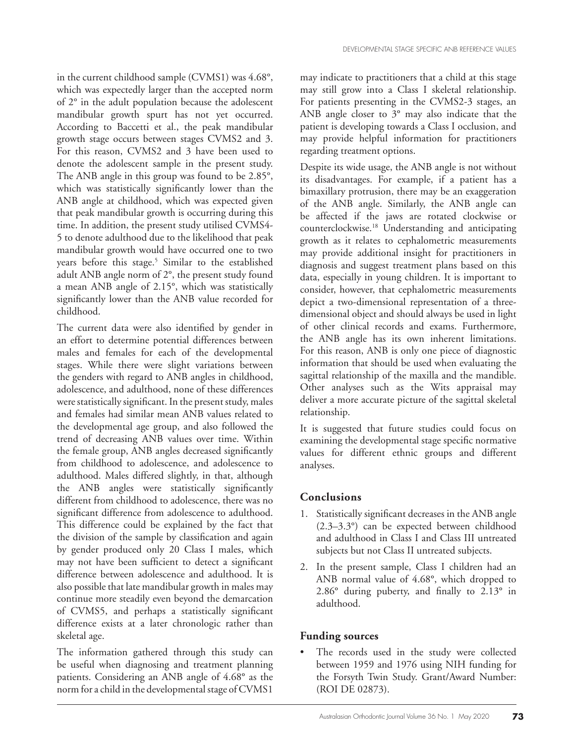in the current childhood sample (CVMS1) was 4.68°, which was expectedly larger than the accepted norm of 2° in the adult population because the adolescent mandibular growth spurt has not yet occurred. According to Baccetti et al., the peak mandibular growth stage occurs between stages CVMS2 and 3. For this reason, CVMS2 and 3 have been used to denote the adolescent sample in the present study. The ANB angle in this group was found to be 2.85°, which was statistically significantly lower than the ANB angle at childhood, which was expected given that peak mandibular growth is occurring during this time. In addition, the present study utilised CVMS4- 5 to denote adulthood due to the likelihood that peak mandibular growth would have occurred one to two years before this stage.<sup>5</sup> Similar to the established adult ANB angle norm of 2°, the present study found a mean ANB angle of 2.15°, which was statistically significantly lower than the ANB value recorded for childhood.

The current data were also identified by gender in an effort to determine potential differences between males and females for each of the developmental stages. While there were slight variations between the genders with regard to ANB angles in childhood, adolescence, and adulthood, none of these differences were statistically significant. In the present study, males and females had similar mean ANB values related to the developmental age group, and also followed the trend of decreasing ANB values over time. Within the female group, ANB angles decreased significantly from childhood to adolescence, and adolescence to adulthood. Males differed slightly, in that, although the ANB angles were statistically significantly different from childhood to adolescence, there was no significant difference from adolescence to adulthood. This difference could be explained by the fact that the division of the sample by classification and again by gender produced only 20 Class I males, which may not have been sufficient to detect a significant difference between adolescence and adulthood. It is also possible that late mandibular growth in males may continue more steadily even beyond the demarcation of CVMS5, and perhaps a statistically significant difference exists at a later chronologic rather than skeletal age.

The information gathered through this study can be useful when diagnosing and treatment planning patients. Considering an ANB angle of 4.68° as the norm for a child in the developmental stage of CVMS1

may indicate to practitioners that a child at this stage may still grow into a Class I skeletal relationship. For patients presenting in the CVMS2-3 stages, an ANB angle closer to 3° may also indicate that the patient is developing towards a Class I occlusion, and may provide helpful information for practitioners regarding treatment options.

Despite its wide usage, the ANB angle is not without its disadvantages. For example, if a patient has a bimaxillary protrusion, there may be an exaggeration of the ANB angle. Similarly, the ANB angle can be affected if the jaws are rotated clockwise or counterclockwise.18 Understanding and anticipating growth as it relates to cephalometric measurements may provide additional insight for practitioners in diagnosis and suggest treatment plans based on this data, especially in young children. It is important to consider, however, that cephalometric measurements depict a two-dimensional representation of a threedimensional object and should always be used in light of other clinical records and exams. Furthermore, the ANB angle has its own inherent limitations. For this reason, ANB is only one piece of diagnostic information that should be used when evaluating the sagittal relationship of the maxilla and the mandible. Other analyses such as the Wits appraisal may deliver a more accurate picture of the sagittal skeletal relationship.

It is suggested that future studies could focus on examining the developmental stage specific normative values for different ethnic groups and different analyses.

# **Conclusions**

- 1. Statistically significant decreases in the ANB angle (2.3–3.3°) can be expected between childhood and adulthood in Class I and Class III untreated subjects but not Class II untreated subjects.
- 2. In the present sample, Class I children had an ANB normal value of 4.68°, which dropped to 2.86° during puberty, and finally to 2.13° in adulthood.

# **Funding sources**

The records used in the study were collected between 1959 and 1976 using NIH funding for the Forsyth Twin Study. Grant/Award Number: (ROI DE 02873).